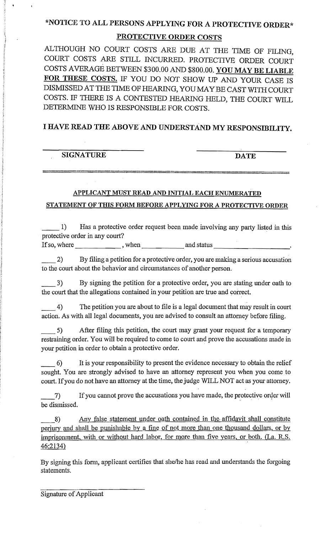# \*NOTICE TO ALL PERSONS APPLYING FOR A PROTECTIVE ORDER\*

## PROTECTIVE ORDER COSTS

ALTHOUGH NO COURT COSTS ARE DUE AT THE TIME OF FILING, COURT COSTS ARE STILL INCURRED. PROTECTIVE ORDER COURT COSTS AVERAGE BETWEEN \$300.00 AND \$800.00. YOU MAY BE LIABLE FOR THESE COSTS. IF YOU DO NOT SHOW UP AND YOUR CASE IS DISMISSED AT THE TIME OF HEARING, YOU MAY BE CAST WITH COURT COSTS. IF THERE IS A CONTESTED HEARING HELD, THE COURT WILL DETERMINE WHO IS RESPONSIBLE FOR COSTS.

## I HAVE READ THE ABOVE' AND UNDERSTAND MY RESPONSIDILITY.

| <b>SIGNATURE</b> | <b>DATE</b> |
|------------------|-------------|
|                  |             |

## APPLICANT MUST READ AND INITIAL EACH ENUMERATED STATEMENT OF THIS FORM BEFORE APPLYING FOR A PROTECTIVE ORDER

\_\_ 1) Has a protective order request been made involving any party listed in this protective order in any court?

If so, where  $\frac{1}{\sqrt{1-\frac{1}{2}}}\$ , when  $\frac{1}{\sqrt{1-\frac{1}{2}}}\$  and status  $\frac{1}{\sqrt{1-\frac{1}{2}}}\$ 

\_\_2) By filing a petition for a protective order, you are making a serious accusation to the court about the behavior and circwnstances of another person.

\_\_3) By signing the petition for a protective order, you are stating under oath to the court that the allegations contained in your petition are true and correct.

\_\_4) The petition you are about to file is a legal document that may result in court action. As with all legal docwnents, you are advised to consult an attomey before filing.

\_\_ 5) After filing this petition, the court may grant your request for a temporary restraining order. You will be required to come to court and prove the accusations made in yow' petition in order to obtain a protective order.

\_\_6) It is your responsibility to present the evidence necessary to obtain the relief sought. You are strongly advised to have an attorney represent you when you come to court. If you do not have an attorney at the time, the judge WILL NOT act as your attorney.

7) If you cannot prove the accusations you have made, the protective order will be dismissed.

8) Any false statement under oath contained in the affidavit shall constitute perjury and shall be punishable by a fine of not more than one thousand dollars, or by imprisonment, with or without hard labor, for more than five years, or both. (La. R.S. 46:2134)

By signing this fonn, applicant certifies that she/he has read and understands the forgoing statements.

Signature of Applicant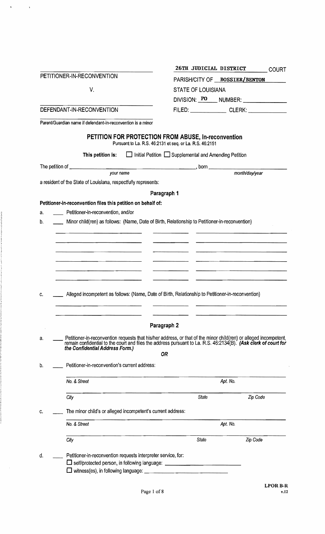|                                                                     | 26TH JUDICIAL DISTRICT<br><b>COURT</b>                                                                            |  |  |  |  |
|---------------------------------------------------------------------|-------------------------------------------------------------------------------------------------------------------|--|--|--|--|
| PETITIONER-IN-RECONVENTION                                          | PARISH/CITY OF BOSSIER/BENTON                                                                                     |  |  |  |  |
| V.                                                                  | <b>STATE OF LOUISIANA</b>                                                                                         |  |  |  |  |
|                                                                     | DIVISION: PO NUMBER: NUMBER:                                                                                      |  |  |  |  |
| DEFENDANT-IN-RECONVENTION                                           |                                                                                                                   |  |  |  |  |
| Parent/Guardian name if defendant-in-reconvention is a minor        |                                                                                                                   |  |  |  |  |
|                                                                     |                                                                                                                   |  |  |  |  |
|                                                                     | PETITION FOR PROTECTION FROM ABUSE, In-reconvention<br>Pursuant to La. R.S. 46:2131 et seq. or La. R.S. 46:2151   |  |  |  |  |
| This petition is:                                                   | $\Box$ Initial Petition $\Box$ Supplemental and Amending Petition                                                 |  |  |  |  |
|                                                                     |                                                                                                                   |  |  |  |  |
| your name                                                           | month/day/year                                                                                                    |  |  |  |  |
| a resident of the State of Louisiana, respectfully represents:      |                                                                                                                   |  |  |  |  |
|                                                                     | Paragraph 1                                                                                                       |  |  |  |  |
| Petitioner-in-reconvention files this petition on behalf of:        |                                                                                                                   |  |  |  |  |
| Petitioner-in-reconvention, and/or<br>a.                            |                                                                                                                   |  |  |  |  |
| b.                                                                  | Minor child(ren) as follows: (Name, Date of Birth, Relationship to Petitioner-in-reconvention)                    |  |  |  |  |
|                                                                     |                                                                                                                   |  |  |  |  |
|                                                                     |                                                                                                                   |  |  |  |  |
|                                                                     |                                                                                                                   |  |  |  |  |
|                                                                     |                                                                                                                   |  |  |  |  |
|                                                                     |                                                                                                                   |  |  |  |  |
|                                                                     |                                                                                                                   |  |  |  |  |
| c.                                                                  | Alleged incompetent as follows: (Name, Date of Birth, Relationship to Petitioner-in-reconvention)                 |  |  |  |  |
|                                                                     |                                                                                                                   |  |  |  |  |
|                                                                     |                                                                                                                   |  |  |  |  |
|                                                                     | Paragraph 2                                                                                                       |  |  |  |  |
| а.                                                                  | Petitioner-in-reconvention requests that his/her address, or that of the minor child(ren) or alleged incompetent, |  |  |  |  |
| the Confidential Address Form.)                                     | remain confidential to the court and files the address pursuant to La. R.S. 46:2134(B). (Ask clerk of court for   |  |  |  |  |
|                                                                     | 0R                                                                                                                |  |  |  |  |
| Petitioner-in-reconvention's current address:<br>b.                 |                                                                                                                   |  |  |  |  |
| No. & Street                                                        | Apt. No.                                                                                                          |  |  |  |  |
|                                                                     |                                                                                                                   |  |  |  |  |
| City                                                                | State<br>Zip Code                                                                                                 |  |  |  |  |
| The minor child's or alleged incompetent's current address:<br>c.   |                                                                                                                   |  |  |  |  |
|                                                                     |                                                                                                                   |  |  |  |  |
| No. & Street                                                        | Apt. No.                                                                                                          |  |  |  |  |
| City                                                                | State<br>Zip Code                                                                                                 |  |  |  |  |
|                                                                     |                                                                                                                   |  |  |  |  |
|                                                                     |                                                                                                                   |  |  |  |  |
| Petitioner-in-reconvention requests interpreter service, for:<br>d. | □ self/protected person, in following language: ________________________________                                  |  |  |  |  |

 $\label{eq:3.1} \frac{1}{2} \sum_{i=1}^n \frac{1}{2} \left( \frac{1}{2} \sum_{i=1}^n \frac{1}{2} \right)^2$ 

in the book

 $\hat{\mathcal{A}}$ 

LPORB-R V.U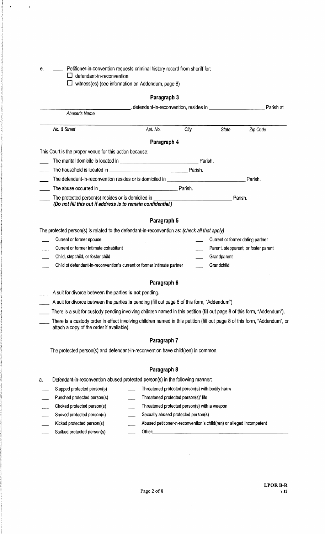$\hat{\mathbf{r}}$ 

 $\cdot$ 

e. \_\_\_\_ Petitioner-in-convention requests criminal history record from sheriff for:

 $\square$  defendant-in-reconvention

 $\square$  witness(es) (see information on Addendum, page 8)

## Paragraph 3

|                                                                                                                                                                         | narayrapır ə |                                                 |                                  |                                      |
|-------------------------------------------------------------------------------------------------------------------------------------------------------------------------|--------------|-------------------------------------------------|----------------------------------|--------------------------------------|
|                                                                                                                                                                         |              |                                                 |                                  | Parish at                            |
| Abuser's Name                                                                                                                                                           |              |                                                 |                                  |                                      |
| No. & Street                                                                                                                                                            | Apt. No.     | City                                            | <b>State</b>                     | Zip Code                             |
|                                                                                                                                                                         | Paragraph 4  |                                                 |                                  |                                      |
| This Court is the proper venue for this action because:                                                                                                                 |              |                                                 |                                  |                                      |
|                                                                                                                                                                         |              |                                                 |                                  |                                      |
|                                                                                                                                                                         |              |                                                 |                                  |                                      |
|                                                                                                                                                                         |              |                                                 |                                  |                                      |
|                                                                                                                                                                         |              |                                                 |                                  |                                      |
| The protected person(s) resides or is domiciled in _____________________________                                                                                        |              |                                                 |                                  | Parish.                              |
| (Do not fill this out if address is to remain confidential.)                                                                                                            |              |                                                 |                                  |                                      |
|                                                                                                                                                                         | Paragraph 5  |                                                 |                                  |                                      |
| The protected person(s) is related to the defendant-in-reconvention as: (check all that apply)                                                                          |              |                                                 |                                  |                                      |
| Current or former spouse                                                                                                                                                |              |                                                 | Current or former dating partner |                                      |
| Current or former intimate cohabitant                                                                                                                                   |              |                                                 |                                  | Parent, stepparent, or foster parent |
| Child, stepchild, or foster child                                                                                                                                       |              |                                                 | Grandparent                      |                                      |
| Child of defendant-in-reconvention's current or former intimate partner                                                                                                 |              |                                                 | Grandchild                       |                                      |
|                                                                                                                                                                         | Paragraph 6  |                                                 |                                  |                                      |
| A suit for divorce between the parties is not pending.                                                                                                                  |              |                                                 |                                  |                                      |
| A suit for divorce between the parties is pending (fill out page 8 of this form, "Addendum")                                                                            |              |                                                 |                                  |                                      |
| There is a suit for custody pending involving children named in this petition (fill out page 8 of this form, "Addendum").                                               |              |                                                 |                                  |                                      |
| There is a custody order in effect involving children named in this petition (fill out page 8 of this form, "Addendum", or<br>attach a copy of the order if available). |              |                                                 |                                  |                                      |
|                                                                                                                                                                         | Paragraph 7  |                                                 |                                  |                                      |
| The protected person(s) and defendant-in-reconvention have child(ren) in common.                                                                                        |              |                                                 |                                  |                                      |
|                                                                                                                                                                         |              |                                                 |                                  |                                      |
|                                                                                                                                                                         | Paragraph 8  |                                                 |                                  |                                      |
| Defendant-in-reconvention abused protected person(s) in the following manner:                                                                                           |              |                                                 |                                  |                                      |
| а.<br>Slapped protected person(s)                                                                                                                                       |              | Threatened protected person(s) with bodily harm |                                  |                                      |

Choked protected person(s) Threatened protected person(s) with a weapon Shoved protected person(s) Sexually abused protected person(s) Kicked protected person(s) Abused petitioner-n-reconvention's child(ren) or alleged incompetent Stalked Other:\_\_\_\_\_\_\_\_\_\_\_\_\_\_\_\_\_\_\_\_ protected person(s)

 $\hat{\mathcal{A}}$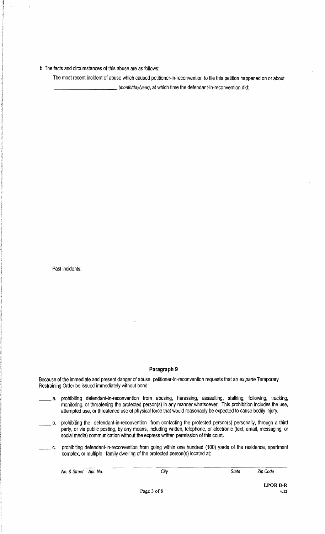b. The facts and circumstances of this abuse are as follows:

The most recent incident of abuse which caused petitioner-in-reconvention to file this petition happened on or about \_\_\_\_\_\_\_\_\_(month/day/year), at which time the defendant-in-reconvention did:

Past incidents:

#### **Paragraph 9**

Because of the immediate and present danger of abuse, petitioner-in-reconvention requests that an ex parte Temporary Restraining Order be issued immediately without bond:

- a. prohibiting defendant-in-reconvention from abusing, harassing, assaulting, stalking, following, tracking, monitoring, or threatening the protected person(s) in any manner whatsoever. This prohibition includes the use, attempted use, or threatened use of physical force that would reasonably be expected to cause bodily injury.
- b. prohibiting the defendant-in-reconvention from contacting the protected person(s) personally, through a third party, or via public posting. by any means, including written, telephone, or electronic (text, email, messaging, or social media) communication without the express written permission of this court.
- c. prohibiting defendant-in-reconvention from going within one hundred (100) yards of the residence, apartment complex, or multiple family dwelling of the protected person(s) located at:

No. & Street Apt. No. City Code City State Zip Code

LPORB-R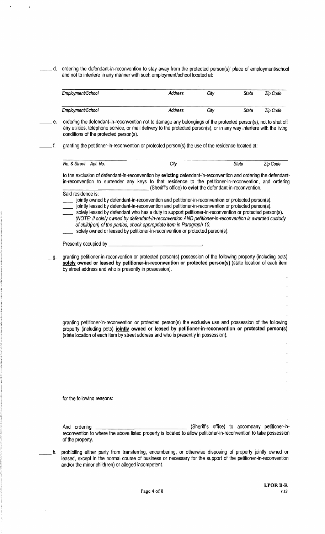d. ordering the defendant-in-reconvention to stay away from the protected person(s)' place of employment/school and not to interfere in any manner with such employment/school located at:

| Employment/School | Address | Citv | State | Zip Code |
|-------------------|---------|------|-------|----------|
| Employment/School | Address | Citv | State | Zip Code |

- e. ordering the defendant-in-reconvention not to damage any belongings of the protected person(s), not to shut off any utilities, telephone service, or mail delivery to the protected person(s), or in any way interfere with the living conditions of the protected person(s).
- f. granting the petitioner-in-reconvention or protected person(s) the use of the residence located at:

| No. & Street | Apt.<br>No. | <b>City</b> | State | 7in.<br>Jod⊖ |
|--------------|-------------|-------------|-------|--------------|
|              |             |             |       |              |

to the exclusion of defendant-in-reconvention by **evicting** defendant-In-reconvention and ordering the defendant in-reconvention to surrender any keys to that residence to the petitioner-in-reconvention, and ordering \_\_\_\_\_\_\_\_\_\_\_\_\_(Sheriff's office) to **evict** the defendant-in-reconvention.

Said residence is:

jointly owned by defendant-in-reconvention and petitioner-in-reconvention or protected person(s).

- jointly leased by defendant-in-reconvention and petitioner-in-reconvention or protected person(s).
- solely leased by defendant who has aduty to support petitioner-in-reconvention or protected person(s). (NOTE: If solely owned by defendant-in-reconvention AND petitioner-in-reconvention is awarded custody of child(ren) of the parties, check appropriate item in Paragraph 10.
- solely owned or leased by petitioner-in-reconvention or protected person(s).

#### Presently occupied by \_

\_\_g. granting petitioner-in-reconvention or protected person(s) possession of the following property (including pets) **solely owned or leased by petitioner-in-reconvention or protected person(s}** (state location of each item by street address and who is presently in possession).

granting petitioner-in-reconvention or protected person(s) the exclusive use and possession of the following property (including pets) **jointly owned or leased by petitioner-In-reconvention or protected person(s)**  (state location of each item by street address and who is presently in possession).

for the foilowina reasons:

And ordering (Sheriff's office) to accompany petitioner-inreconvention to where the above listed property is located to allow petitioner-In-reconvention to take possession of the property.

h. prohibiting either party from transferring, encumbering, or otherwise disposing of property jointly owned or leased, except in the normal course of business or necessary for the support of the petitioner-in-reconvention and/or the minor child(ren) or alleged incompetent.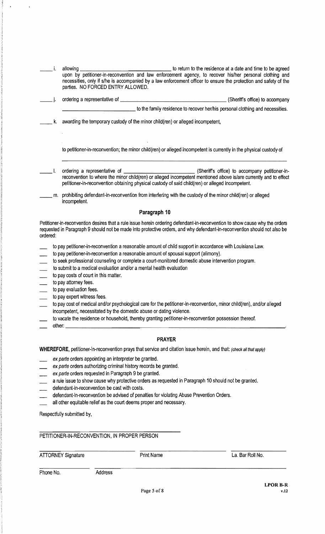|          |    | allowing                                                                                                                                                                                                                                                | to return to the residence at a date and time to be agreed                    |
|----------|----|---------------------------------------------------------------------------------------------------------------------------------------------------------------------------------------------------------------------------------------------------------|-------------------------------------------------------------------------------|
|          |    | upon by petitioner-in-reconvention and law enforcement agency, to recover his/her personal clothing and                                                                                                                                                 |                                                                               |
|          |    | necessities, only if s/he is accompanied by a law enforcement officer to ensure the protection and safety of the<br>parties. NO FORCED ENTRY ALLOWED.                                                                                                   |                                                                               |
|          |    |                                                                                                                                                                                                                                                         |                                                                               |
|          |    | ordering a representative of _                                                                                                                                                                                                                          | (Sheriff's office) to accompany                                               |
|          |    |                                                                                                                                                                                                                                                         | to the family residence to recover her/his personal clothing and necessities. |
|          | k. | awarding the temporary custody of the minor child(ren) or alleged incompetent,                                                                                                                                                                          |                                                                               |
|          |    | to petitioner-in-reconvention; the minor child(ren) or alleged incompetent is currently in the physical custody of                                                                                                                                      |                                                                               |
|          |    | reconvention to where the minor child(ren) or alleged incompetent mentioned above is/are currently and to effect<br>petitioner-in-reconvention obtaining physical custody of said child(ren) or alleged incompetent.                                    |                                                                               |
|          | m. | prohibiting defendant-in-reconvention from interfering with the custody of the minor child(ren) or alleged<br>incompetent.                                                                                                                              |                                                                               |
|          |    | Paragraph 10                                                                                                                                                                                                                                            |                                                                               |
| ordered: |    | Petitioner-in-reconvention desires that a rule issue herein ordering defendant-in-reconvention to show cause why the orders<br>requested in Paragraph 9 should not be made into protective orders, and why defendant-in-reconvention should not also be |                                                                               |
|          |    | to pay petitioner-in-reconvention a reasonable amount of child support in accordance with Louisiana Law.                                                                                                                                                |                                                                               |
|          |    | to pay petitioner-in-reconvention a reasonable amount of spousal support (alimony).                                                                                                                                                                     |                                                                               |
|          |    | to sook professional counseling or complete a court-monitored domestic abuse intervention program                                                                                                                                                       |                                                                               |

- to seek professional counseling or complete a court-monitored domestic abuse intervention program.
- to submit to a medical evaluation and/or a mental health evaluation
- to pay costs of court in this matter.
- to pay attorney fees.
- to pay evaluation fees.
- to pay expert witness fees.
- to pay cost of medical and/or psychological care for the petitioner-in-reconvention, minor child(ren), and/or alleged incompetent, necessitated by the domestic abuse or dating violence.
- to vacate the residence or household, thereby granting petitioner-in-reconvention posseSSion thereof. other: \_\_\_\_\_\_\_\_\_\_\_\_\_\_\_\_\_\_\_\_\_\_\_\_\_\_\_\_\_\_\_\_,
- 

#### **PRAYER**

**WHEREFORE,** petitioner-in-reconvention prays that service and citation issue herein, and that: (check all that apply)

- ex parte orders appointing an interpreter be granted.
- ex parte orders authorizing criminal history records be granted.
- ex parte orders requested in Paragraph 9 be granted.
- a rule issue to show cause why protective orders as requested in Paragraph 10 should not be granted.
- defendant-in-reconvention be cast with costs.
- defendant-in-reconvention be advised of penalties for violating Abuse Prevention Orders.
- all other equitable relief as the court deems proper and necessary.

Respectfully submitted by,

#### PETITIONER-IN-RECONVENTION, IN PROPER PERSON

ATTORNEY Signature **Print Name** Print Name La. Bar Roll No.

Phone No. 69 Address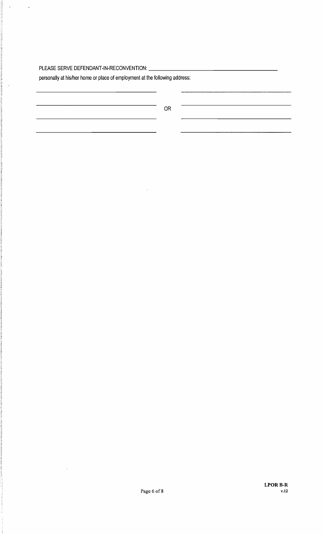## PLEASE SERVE DEFENDANT-IN-RECONVENTION: \_

 $\hat{\mathcal{A}}$ 

 $\hat{\boldsymbol{\theta}}$ 

personally at his/her home or place of employment at the following address:

OR

 $\cdot$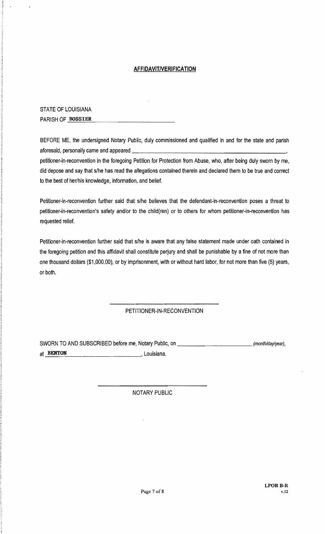#### **AFFIDAVITNERIFICATION**

STATE OF LOUISIANA PARISH OF BOSSIER

BEFORE ME, the undersigned Notary Public, duly commissioned and qualified in and for the state and parish aforesaid, personally came and appeared \_ petitioner-in-reconvention in the foregoing Petition for Protection from Abuse, who, after being duly sworn by me, did depose and say that s/he has read the allegations contained therein and declared them to be true and correct to the best of her/his knowledge, information, and belief.

Petitioner-in-reconvention further said that s/he believes that the defendant-in-reconvention poses a threat to petitioner-in-reconvention's safety and/or to the child(ren} or to others for whom petitioner-in-reconvention has requested relief.

Petitioner-in-reconvention further said that s/he is aware that any false statement made under oath contained in the foregoing petition and this affidavit shall constitute perjury and shall be punishable by a fine of not more than one thousand dollars (\$1,OOO.OO). or by imprisonment, with or without hard labor, for not more than five (5) years. or both.

### PETITIONER-IN-RECONVENTION

SWORN TO AND SUBSCRIBED before me, Notary Public, on \_\_\_\_\_\_\_\_\_\_\_\_\_\_\_\_\_\_\_\_\_\_\_\_\_\_\_\_\_ (month/day/year), at **BENTON** , Louisiana.

#### NOTARY PUBLIC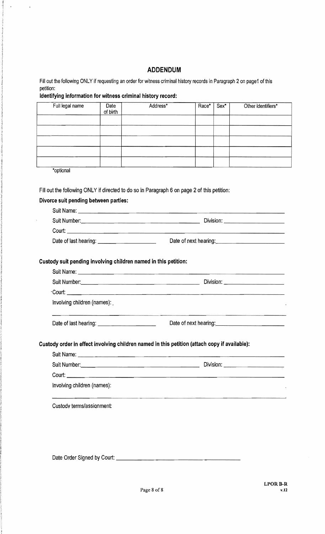## ADDENDUM

Fill out the following ONLY if requesting an order for witness criminal history records in Paragraph 2on page1 of this petition:

#### Identifying information for witness criminal history record:

 $\ddot{\phantom{1}}$ 

 $\bar{1}$ 

| Full legal name                                                                               | Date<br>of birth | Address* | Race* | Sex* | Other identifiers*                                    |
|-----------------------------------------------------------------------------------------------|------------------|----------|-------|------|-------------------------------------------------------|
|                                                                                               |                  |          |       |      |                                                       |
|                                                                                               |                  |          |       |      |                                                       |
|                                                                                               |                  |          |       |      |                                                       |
|                                                                                               |                  |          |       |      |                                                       |
|                                                                                               |                  |          |       |      |                                                       |
| *optional                                                                                     |                  |          |       |      |                                                       |
|                                                                                               |                  |          |       |      |                                                       |
| Fill out the following ONLY if directed to do so in Paragraph 6 on page 2 of this petition:   |                  |          |       |      |                                                       |
| Divorce suit pending between parties:                                                         |                  |          |       |      |                                                       |
| ç.                                                                                            |                  |          |       |      |                                                       |
|                                                                                               |                  |          |       |      |                                                       |
| Date of last hearing: <u>container and the set of last hearing</u>                            |                  |          |       |      | Date of next hearing:<br><u> </u>                     |
|                                                                                               |                  |          |       |      |                                                       |
|                                                                                               |                  |          |       |      |                                                       |
| Custody suit pending involving children named in this petition:                               |                  |          |       |      |                                                       |
|                                                                                               |                  |          |       |      |                                                       |
|                                                                                               |                  |          |       |      |                                                       |
| Involving children (names):                                                                   |                  |          |       |      |                                                       |
|                                                                                               |                  |          |       |      |                                                       |
|                                                                                               |                  |          |       |      | Date of next hearing:<br><u>Date of next hearing:</u> |
|                                                                                               |                  |          |       |      |                                                       |
| Custody order in effect involving children named in this petition (attach copy if available): |                  |          |       |      |                                                       |
|                                                                                               |                  |          |       |      |                                                       |
|                                                                                               |                  |          |       |      |                                                       |
|                                                                                               |                  |          |       |      |                                                       |
| Involving children (names):                                                                   |                  |          |       |      |                                                       |
|                                                                                               |                  |          |       |      |                                                       |
| Custody terms/assignment:                                                                     |                  |          |       |      |                                                       |
|                                                                                               |                  |          |       |      |                                                       |

Date Order Signed by Court: \_\_\_\_\_\_\_\_\_\_\_\_\_\_\_\_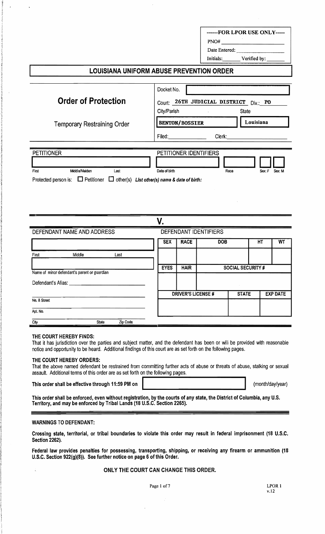|                                                                                            |                        |                                        | $\pmb{\text{PNO#}}\qquad \qquad \qquad \qquad \qquad \qquad \qquad \qquad \text{PNO#}$ |
|--------------------------------------------------------------------------------------------|------------------------|----------------------------------------|----------------------------------------------------------------------------------------|
|                                                                                            |                        |                                        |                                                                                        |
|                                                                                            |                        |                                        |                                                                                        |
|                                                                                            |                        |                                        | Initials: Verified by:                                                                 |
| LOUISIANA UNIFORM ABUSE PREVENTION ORDER                                                   |                        |                                        |                                                                                        |
|                                                                                            |                        |                                        |                                                                                        |
|                                                                                            | Docket No.             |                                        |                                                                                        |
| <b>Order of Protection</b>                                                                 |                        |                                        | Court: 26TH JUDICIAL DISTRICT Div.: PO                                                 |
|                                                                                            | City/Parish            | the control of the control of the con- | State                                                                                  |
| <b>Temporary Restraining Order</b>                                                         | <b>BENTON/BOSSIER</b>  |                                        | Louisiana                                                                              |
|                                                                                            |                        |                                        | Clerk: Clerk:                                                                          |
| <b>PETITIONER</b>                                                                          | PETITIONER IDENTIFIERS |                                        |                                                                                        |
|                                                                                            |                        |                                        |                                                                                        |
| Middle/Maiden<br>Last                                                                      | Date of birth          | Race                                   | Sex: F Sex: M                                                                          |
| Protected person is: $\Box$ Petitioner $\Box$ other(s) List other(s) name & date of birth: |                        |                                        |                                                                                        |

|                    | DEFENDANT NAME AND ADDRESS                   |              |          |             |                          | DEFENDANT IDENTIFIERS |                   |    |                 |
|--------------------|----------------------------------------------|--------------|----------|-------------|--------------------------|-----------------------|-------------------|----|-----------------|
|                    |                                              |              |          | <b>SEX</b>  | <b>RACE</b>              | <b>DOB</b>            |                   | HT | WT              |
| First              | Middle                                       |              | Last     |             |                          |                       |                   |    |                 |
|                    | Name of minor defendant's parent or guardian |              |          | <b>EYES</b> | <b>HAIR</b>              |                       | SOCIAL SECURITY # |    |                 |
| Defendant's Alias: |                                              |              |          |             |                          |                       |                   |    |                 |
|                    |                                              |              |          |             | <b>DRIVER'S LICENSE#</b> |                       | <b>STATE</b>      |    | <b>EXP DATE</b> |
| No. & Street       |                                              |              |          |             |                          |                       |                   |    |                 |
| Apt. No.           |                                              |              |          |             |                          |                       |                   |    |                 |
| City               |                                              | <b>State</b> | Zip Code |             |                          |                       |                   |    |                 |

#### THE COURT HEREBY FINDS:

That it has jurisdiction over the parties and subject matter, and the defendant has been or will be provided with reasonable notice and opportunity to be heard. Additional findings of this court are as set forth on the following pages.

#### THE COURT HEREBY ORDERS:

 That the above named defendant be restrained from committing further acts of abuse or threats of abuse, stalking or sexual assault. Additional terms of this order are as set forth on the following pages.

This order shall be effective through 11:59 PM on

(month/day/year)

This order shall be enforced, even without registration, by the courts of any state, the District of Columbia, any U.S. Territory, and may be enforced by Tribal Lands (18 U.S.C. Section 2265).

#### WARNINGS TO DEFENDANT:

Crossing state, territorial, or tribal boundaries to violate this order may result in federal imprisonment (18 U.S.C. Section 2262).

Federal law provides penalties for possessing, transporting, shipping, or receiving any firearm or ammunition (18 U.S.C. Section 922(g)(8)). See further notice on page 6 of this Order.

#### ONLY THE COURT CAN CHANGE THIS ORDER.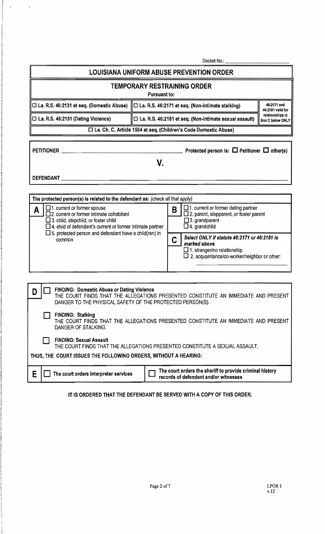| Docket No.: _                                                                                                                                                                                                                                                                                                                                                                                                                                                                                                                                                                                                                                                                                                      |                                                                                        |  |  |  |  |  |
|--------------------------------------------------------------------------------------------------------------------------------------------------------------------------------------------------------------------------------------------------------------------------------------------------------------------------------------------------------------------------------------------------------------------------------------------------------------------------------------------------------------------------------------------------------------------------------------------------------------------------------------------------------------------------------------------------------------------|----------------------------------------------------------------------------------------|--|--|--|--|--|
|                                                                                                                                                                                                                                                                                                                                                                                                                                                                                                                                                                                                                                                                                                                    | <b>LOUISIANA UNIFORM ABUSE PREVENTION ORDER</b>                                        |  |  |  |  |  |
|                                                                                                                                                                                                                                                                                                                                                                                                                                                                                                                                                                                                                                                                                                                    | <b>TEMPORARY RESTRAINING ORDER</b><br><b>Pursuant to:</b>                              |  |  |  |  |  |
| $\Box$ La. R.S. 46:2131 et seq. (Domestic Abuse)                                                                                                                                                                                                                                                                                                                                                                                                                                                                                                                                                                                                                                                                   | 46:2171 and<br>□ La. R.S. 46:2171 et seq. (Non-intimate stalking)<br>46:2181 valid for |  |  |  |  |  |
| relationships in<br>$\Box$ La. R.S. 46:2151 (Dating Violence)<br>□ La. R.S. 46:2181 et seq. (Non-intimate sexual assault)<br>Box C below ONLY                                                                                                                                                                                                                                                                                                                                                                                                                                                                                                                                                                      |                                                                                        |  |  |  |  |  |
|                                                                                                                                                                                                                                                                                                                                                                                                                                                                                                                                                                                                                                                                                                                    | □ La. Ch. C. Article 1564 et seq. (Children's Code Domestic Abuse)                     |  |  |  |  |  |
| <b>PETITIONER</b>                                                                                                                                                                                                                                                                                                                                                                                                                                                                                                                                                                                                                                                                                                  | Protected person is: $\Box$ Petitioner $\Box$ other(s)                                 |  |  |  |  |  |
|                                                                                                                                                                                                                                                                                                                                                                                                                                                                                                                                                                                                                                                                                                                    | V.                                                                                     |  |  |  |  |  |
| <b>DEFENDANT</b>                                                                                                                                                                                                                                                                                                                                                                                                                                                                                                                                                                                                                                                                                                   |                                                                                        |  |  |  |  |  |
|                                                                                                                                                                                                                                                                                                                                                                                                                                                                                                                                                                                                                                                                                                                    |                                                                                        |  |  |  |  |  |
| The protected person(s) is related to the defendant as: (check all that apply)<br>$\Box$ 1. current or former spouse<br>$\Box$ 1. current or former dating partner<br>B<br>A<br>$\square$ 2. current or former intimate cohabitant<br>$\square$ 2. parent, stepparent, or foster parent<br>$\Box$ 3. grandparent<br>$\Box$ 3. child, stepchild, or foster child<br>$\Box$ 4. child of defendant's current or former intimate partner<br>$\square$ 4. grandchild<br>$\square$ 5. protected person and defendant have a child(ren) in<br>Select ONLY if statute 46:2171 or 46:2181 is<br>C<br>common<br>marked above<br>$\Box$ 1. stranger/no relationship<br>$\square$ 2. acquaintance/co-worker/neighbor or other: |                                                                                        |  |  |  |  |  |
| <b>FINDING: Domestic Abuse or Dating Violence</b><br>THE COURT FINDS THAT THE ALLEGATIONS PRESENTED CONSTITUTE AN IMMEDIATE AND PRESENT<br>DANGER TO THE PHYSICAL SAFETY OF THE PROTECTED PERSON(S).<br><b>FINDING: Stalking</b><br>THE COURT FINDS THAT THE ALLEGATIONS PRESENTED CONSTITUTE AN IMMEDIATE AND PRESENT<br>DANGER OF STALKING.<br><b>FINDING: Sexual Assault</b><br>THE COURT FINDS THAT THE ALLEGATIONS PRESENTED CONSTITUTE A SEXUAL ASSAULT.<br>THUS, THE COURT ISSUES THE FOLLOWING ORDERS, WITHOUT A HEARING:                                                                                                                                                                                  |                                                                                        |  |  |  |  |  |
| The court orders the sheriff to provide criminal history<br>E<br>The court orders interpreter services<br>records of defendant and/or witnesses                                                                                                                                                                                                                                                                                                                                                                                                                                                                                                                                                                    |                                                                                        |  |  |  |  |  |

 $\frac{1}{2}$  .

 $\sim$   $\sim$ 

IT IS ORDERED THAT THE DEFENDANT BE SERVED WITH A COPY OF THIS ORDER.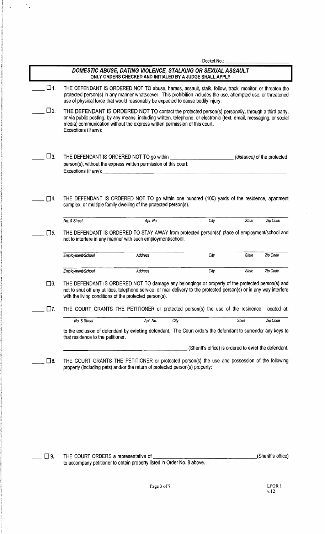|              |                                                                                                                                                                                                                                                                                                                                 |                                                                                                                         |      | Docket No.: |                                                       |             |
|--------------|---------------------------------------------------------------------------------------------------------------------------------------------------------------------------------------------------------------------------------------------------------------------------------------------------------------------------------|-------------------------------------------------------------------------------------------------------------------------|------|-------------|-------------------------------------------------------|-------------|
|              |                                                                                                                                                                                                                                                                                                                                 | DOMESTIC ABUSE, DATING VIOLENCE, STALKING OR SEXUAL ASSAULT<br>ONLY ORDERS CHECKED AND INITIALED BY A JUDGE SHALL APPLY |      |             |                                                       |             |
| □1.          | THE DEFENDANT IS ORDERED NOT TO abuse, harass, assault, stalk, follow, track, monitor, or threaten the<br>protected person(s) in any manner whatsoever. This prohibition includes the use, attempted use, or threatened<br>use of physical force that would reasonably be expected to cause bodily injury.                      |                                                                                                                         |      |             |                                                       |             |
| $\square$ 2. | THE DEFENDANT IS ORDERED NOT TO contact the protected person(s) personally, through a third party,<br>or via public posting, by any means, including written, telephone, or electronic (text, email, messaging, or social<br>media) communication without the express written permission of this court.<br>Exceptions (if any): |                                                                                                                         |      |             |                                                       |             |
| □з.          | THE DEFENDANT IS ORDERED NOT TO go within<br>person(s), without the express written permission of this court.<br>Exceptions (if any):                                                                                                                                                                                           |                                                                                                                         |      |             | (distance) of the protected                           |             |
| □4.          | THE DEFENDANT IS ORDERED NOT TO go within one hundred (100) yards of the residence, apartment<br>complex, or multiple family dwelling of the protected person(s).                                                                                                                                                               |                                                                                                                         |      |             |                                                       |             |
|              | No. & Street                                                                                                                                                                                                                                                                                                                    | Apt. No.                                                                                                                |      | City        | State                                                 | Zip Code    |
| $\square$ 5. | THE DEFENDANT IS ORDERED TO STAY AWAY from protected person(s)' place of employment/school and<br>not to interfere in any manner with such employment/school.                                                                                                                                                                   |                                                                                                                         |      |             |                                                       |             |
|              | Employment/School                                                                                                                                                                                                                                                                                                               | Address                                                                                                                 |      | City        | State                                                 | Zip Code    |
|              | Employment/School                                                                                                                                                                                                                                                                                                               | Address                                                                                                                 |      | City        | State                                                 | Zip Code    |
| $\square$ 6. | THE DEFENDANT IS ORDERED NOT TO damage any belongings or property of the protected person(s) and<br>not to shut off any utilities, telephone service, or mail delivery to the protected person(s) or in any way interfere<br>with the living conditions of the protected person(s).                                             |                                                                                                                         |      |             |                                                       |             |
| □7.          | THE COURT GRANTS THE PETITIONER or protected person(s) the use of the residence                                                                                                                                                                                                                                                 |                                                                                                                         |      |             |                                                       | located at: |
|              | No. & Street                                                                                                                                                                                                                                                                                                                    | Apt. No.                                                                                                                | City |             | State                                                 | Zip Code    |
|              | to the exclusion of defendant by evicting defendant. The Court orders the defendant to surrender any keys to<br>that residence to the petitioner.                                                                                                                                                                               |                                                                                                                         |      |             |                                                       |             |
|              |                                                                                                                                                                                                                                                                                                                                 |                                                                                                                         |      |             | (Sheriff's office) is ordered to evict the defendant. |             |
| 囗8.          | THE COURT GRANTS THE PETITIONER or protected person(s) the use and possession of the following<br>property (including pets) and/or the return of protected person(s) property:                                                                                                                                                  |                                                                                                                         |      |             |                                                       |             |
|              |                                                                                                                                                                                                                                                                                                                                 |                                                                                                                         |      |             |                                                       |             |

 $\Delta \sim 2.5$ 

**Example 2008** THE COURT ORDERS a representative of <u>Denvelope and Conservation and Court (Sheriff's</u> office) to accompany petitioner to obtain property listed in Order No.8 above.

 $\bar{\beta}$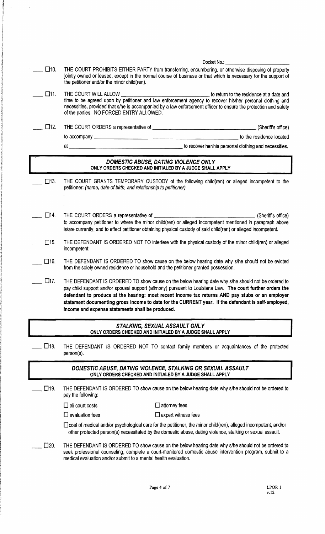|               | Docket No.:                                                                                                                                                                                                                                                                                                                                                                                                                                                                     |
|---------------|---------------------------------------------------------------------------------------------------------------------------------------------------------------------------------------------------------------------------------------------------------------------------------------------------------------------------------------------------------------------------------------------------------------------------------------------------------------------------------|
| $\square$ 10. | THE COURT PROHIBITS EITHER PARTY from transferring, encumbering, or otherwise disposing of property<br>jointly owned or leased, except in the normal course of business or that which is necessary for the support of<br>the petitioner and/or the minor child(ren).                                                                                                                                                                                                            |
| $\Box$ 11.    | necessities, provided that s/he is accompanied by a law enforcement officer to ensure the protection and safety<br>of the parties. NO FORCED ENTRY ALLOWED.                                                                                                                                                                                                                                                                                                                     |
| $\square$ 12. |                                                                                                                                                                                                                                                                                                                                                                                                                                                                                 |
|               |                                                                                                                                                                                                                                                                                                                                                                                                                                                                                 |
|               | to recover her/his personal clothing and necessities.<br>at a                                                                                                                                                                                                                                                                                                                                                                                                                   |
|               | DOMESTIC ABUSE, DATING VIOLENCE ONLY<br>ONLY ORDERS CHECKED AND INITIALED BY A JUDGE SHALL APPLY                                                                                                                                                                                                                                                                                                                                                                                |
| $\square$ 13. | THE COURT GRANTS TEMPORARY CUSTODY of the following child(ren) or alleged incompetent to the<br>petitioner: (name, date of birth, and relationship to petitioner)                                                                                                                                                                                                                                                                                                               |
| $\square$ 14. | THE COURT ORDERS a representative of ____________<br>(Sheriff's office)<br>to accompany petitioner to where the minor child(ren) or alleged incompetent mentioned in paragraph above<br>is/are currently, and to effect petitioner obtaining physical custody of said child(ren) or alleged incompetent.                                                                                                                                                                        |
| $\square$ 15. | THE DEFENDANT IS ORDERED NOT TO interfere with the physical custody of the minor child(ren) or alleged<br>incompetent.                                                                                                                                                                                                                                                                                                                                                          |
| $\square$ 16. | THE DEFENDANT IS ORDERED TO show cause on the below hearing date why s/he should not be evicted<br>from the solely owned residence or household and the petitioner granted possession.                                                                                                                                                                                                                                                                                          |
| $\Box$ 17.    | THE DEFENDANT IS ORDERED TO show cause on the below hearing date why s/he should not be ordered to<br>pay child support and/or spousal support (alimony) pursuant to Louisiana Law. The court further orders the<br>defendant to produce at the hearing: most recent income tax returns AND pay stubs or an employer<br>statement documenting gross income to date for the CURRENT year. If the defendant is self-employed,<br>income and expense statements shall be produced. |
|               | STALKING, SEXUAL ASSAULT ONLY<br>ONLY ORDERS CHECKED AND INITIALED BY A JUDGE SHALL APPLY                                                                                                                                                                                                                                                                                                                                                                                       |
| □18.          | THE DEFENDANT IS ORDERED NOT TO contact family members or acquaintances of the protected<br>person(s).                                                                                                                                                                                                                                                                                                                                                                          |
|               | DOMESTIC ABUSE, DATING VIOLENCE, STALKING OR SEXUAL ASSAULT<br>ONLY ORDERS CHECKED AND INITIALED BY A JUDGE SHALL APPLY                                                                                                                                                                                                                                                                                                                                                         |
| $\square$ 19. | THE DEFENDANT IS ORDERED TO show cause on the below hearing date why s/he should not be ordered to<br>pay the following:                                                                                                                                                                                                                                                                                                                                                        |
|               | $\Box$ all court costs<br>$\square$ attorney fees                                                                                                                                                                                                                                                                                                                                                                                                                               |
|               | $\Box$ evaluation fees<br>$\Box$ expert witness fees                                                                                                                                                                                                                                                                                                                                                                                                                            |
|               | cost of medical and/or psychological care for the petitioner, the minor child(ren), alleged incompetent, and/or<br>other protected person(s) necessitated by the domestic abuse, dating violence, stalking or sexual assault.                                                                                                                                                                                                                                                   |
| $\square$ 20. | THE DEFENDANT IS ORDERED TO show cause on the below hearing date why s/he should not be ordered to<br>seek professional counseling, complete a court-monitored domestic abuse intervention program, submit to a<br>medical evaluation and/or submit to a mental health evaluation.                                                                                                                                                                                              |

 $\frac{1}{2}$  .

 $\sim$   $\sim$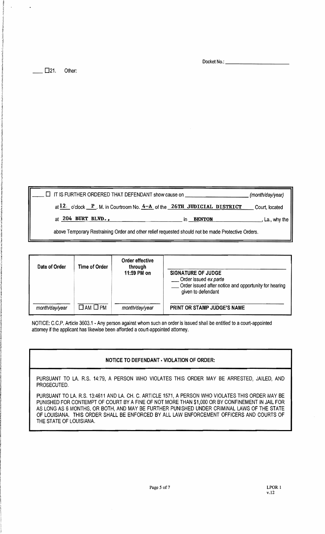Docket No.: \_\_\_\_

 $\Box$  21. Other:

| $\Box$ IT IS FURTHER ORDERED THAT DEFENDANT show cause on                                          |                        | (month/day/year) |
|----------------------------------------------------------------------------------------------------|------------------------|------------------|
| at $12.$ o'clock $P$ . M. in Courtroom No. $4 - A$ of the 26TH JUDICIAL DISTRICT                   |                        | Court, located   |
| at 204 BURT BLVD.,                                                                                 | <b>BENTON</b><br>in in | , La., why the   |
| above Temporary Restraining Order and other relief requested should not be made Protective Orders. |                        |                  |

| Date of Order  | Time of Order             | Order effective<br>through<br>11:59 PM on | <b>SIGNATURE OF JUDGE</b><br>Order issued ex parte<br>Order issued after notice and opportunity for hearing<br>given to defendant |
|----------------|---------------------------|-------------------------------------------|-----------------------------------------------------------------------------------------------------------------------------------|
| month/day/year | $\square$ AM $\square$ PM | month/day/year                            | PRINT OR STAMP JUDGE'S NAME                                                                                                       |

NOTICE: C.C.P. Article 3603.1 - Any person against whom such an order is issued shall be entitled to acourt-appointed attomey if the applicant has likewise been afforded acourt-appointed attomey.

#### NOTICE TO DEFENDANT· VIOLATION OF ORDER:

PURSUANT TO LA. R.S. 14:79, A PERSON WHO VIOLATES THIS ORDER MAY BE ARRESTED, JAILED, AND PROSECUTED.

PURSUANT TO LA. R.S. 13:4611 AND LA. CH. C. ARTICLE 1571, A PERSON WHO VIOLATES THIS ORDER MAY BE PUNISHED FOR CONTEMPT OF COURT BY AFINE OF NOT MORE THAN \$1,000 OR BY CONFINEMENT IN JAIL FOR AS LONG AS 6 MONTHS, OR BOTH, AND MAY BE FURTHER PUNISHED UNDER CRIMINAL LAWS OF THE STATE OF LOUISIANA. THIS ORDER SHALL BE ENFORCED BY ALL LAW ENFORCEMENT OFFICERS AND COURTS OF THE STATE OF LOUISIANA.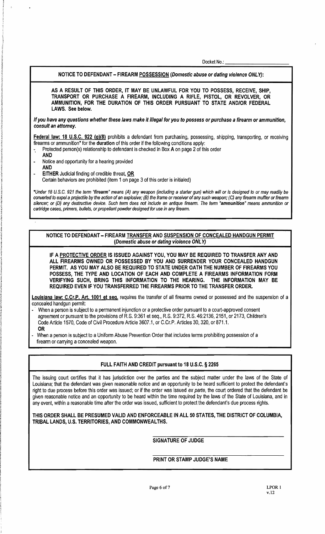Docket No.:

NOTICE TO DEFENDANT - FIREARM POSSESSION (Domestic abuse or dating violence ONLY):

AS A RESULT OF THIS ORDER, IT MAY BE UNLAWFUL FOR YOU TO POSSESS, RECEIVE, SHIP, TRANSPORT OR PURCHASE A FIREARM, INCLUDING A RIFLE, PISTOL, OR REVOLVER, OR AMMUNITION, FOR THE DURATION OF THIS ORDER PURSUANT TO STATE ANDIOR FEDERAL LAWS. See below.

Ifyou have any questions whether these laws make It illegal for you to possess or purchase a firearm or ammunition, consult an attorney.

Federal law: 18 U.S.C. 922 (g)(8) prohibits a defendant from purchasing, possessing, shipping, transporting, or receiving firearms or ammunition\* for the duration of this order if the following conditions apply:

- Protected person(s) relationship to defendant is checked in Box A on page 2 of this order
- AND
- Notice and opportunity for a hearing provided
- AND
- EITHER Judicial finding of credible threat, OR Certain behaviors are prohibited (item 1 on page 3 of this order is initialed)

·Under 18 U.S.C. 921 the tenn "firearm" means (A) any weapon (including a starter gun) which will or is designed to or may readily be converted to expel a projectile by the action of an explosive; (B) the frame or receiver of any such weapon; (C) any firearm muffler or firearm silencer; or (0) any destructive device. Such term does not include an antique fireann. The tenn "ammunition" means ammunition or cartridge cases, primers, bullets, or propellant powder designed for use in any firearm.

NOTICE TO DEFENDANT FIREARM TRANSFER AND SUSPENSION OF CONCEALED HANDGUN PERMIT (Domestic abuse or dating violence ONLY)

IF A PROTECTIVE ORDER IS ISSUED AGAINST YOU, YOU MAY BE REQUIRED TO TRANSFER ANY AND ALL FIREARMS OWNED OR POSSESSED BY YOU AND SURRENDER YOUR CONCEALED HANDGUN PERMIT. AS YOU MAY ALSO BE REQUIRED TO STATE UNDER OATH THE NUMBER OF FIREARMS YOU POSSESS, THE TYPE AND LOCATION OF EACH AND COMPLETE A FIREARMS INFORMATION FORM VERIFYING SUCH, BRING THIS INFORMATION TO THE HEARING. THE INFORMATION MAY BE REQUIRED EVEN IF YOU TRANSFERRED THE FIREARMS PRIOR TO THE TRANSFER ORDER.

Louisiana law: C.Cr.P. Art. 1001 et seq. requires the transfer of all firearms owned or possessed and the suspension of a concealed handgun permit:

When a person is subject to a permanent injunction or a protective order pursuant to a court-approved consent agreement or pursuant to the provisions of R.S. 9:361 et seq., R.S. 9:372, R.S. 46:2136,2151, or 2173, Children's Code Article 1570, Code of Civil Procedure Article 3607.1, or C.Cr.P. Articles 30, 320, or 871.1. OR

• When a person is subject to a Uniform Abuse Prevention Order that includes terms prohibiting possession of a firearm or carrying a concealed weapon.

#### FULL FAITH AND CREDIT pursuant to 18 U.S.C. § 2265

The issuing court certifies that it has jurisdiction over the parties and the subject matter under the laws of the State of Louisiana; that the defendant was given reasonable notice and an opportunity to be heard sufficient to protect the defendant's right to due process before this order was issued; or if the order was issued ex parte, the court ordered that the defendant be given reasonable notice and an opportunity to be heard within the time required by the laws of the State of Louisiana, and in any event, within a reasonable time after the order was issued, sufficient to protect the defendant's due process rights.

THIS ORDER SHALL BE PRESUMED VALID AND ENFORCEABLE IN ALL 50 STATES, THE DISTRICT OF COLUMBIA, TRIBAL LANDS, U.S. TERRITORIES, AND COMMONWEALTHS.

SIGNATURE OF JUDGE

PRINT OR STAMP JUDGE'S NAME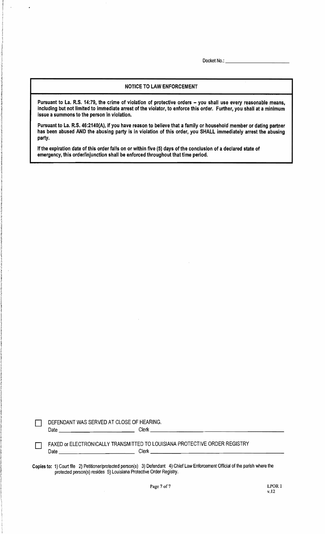Docket No.: \_\_\_\_\_\_\_\_\_\_\_\_\_\_\_\_\_\_

#### NOTICE TO LAW ENFORCEMENT

Pursuant to La. R.S. 14:79, the crime of violation of protective orders - you shall use every reasonable means, including but not limited to immediate arrest of the violator, to enforce this order. Further, you shall at a minimum issue a summons to the person in violation.

Pursuant to La. R.S. 46:2140(A), if you have reason to believe that a family or household member or dating partner has been abused AND the abusing party is in violation of this order, you SHALL immediately arrest the abusing party.

Ifthe expiration date of this order falls on or within five (5) days of the conclusion of a declared state of emergency, this order/injunction shall be enforced throughout that time period.

| ___ | DEFENDANT WAS SERVED AT CLOSE OF HEARING. |       |
|-----|-------------------------------------------|-------|
|     | Date                                      | Clerk |

D FAXED or ELECTRONICALLY TRANSMITTED TO LOUISIANA PROTECTIVE ORDER REGISTRY Date \_\_\_\_\_\_\_\_\_\_\_ Clerk \_\_\_\_\_\_\_\_\_\_\_\_\_\_\_\_\_\_\_

Copies to: 1) Court file 2) Petitioner/protected person(s) 3) Defendant 4) Chief Law Enforcement Official of the parish where the protected person(s) resides 5) Louisiana Protective Order Registry.